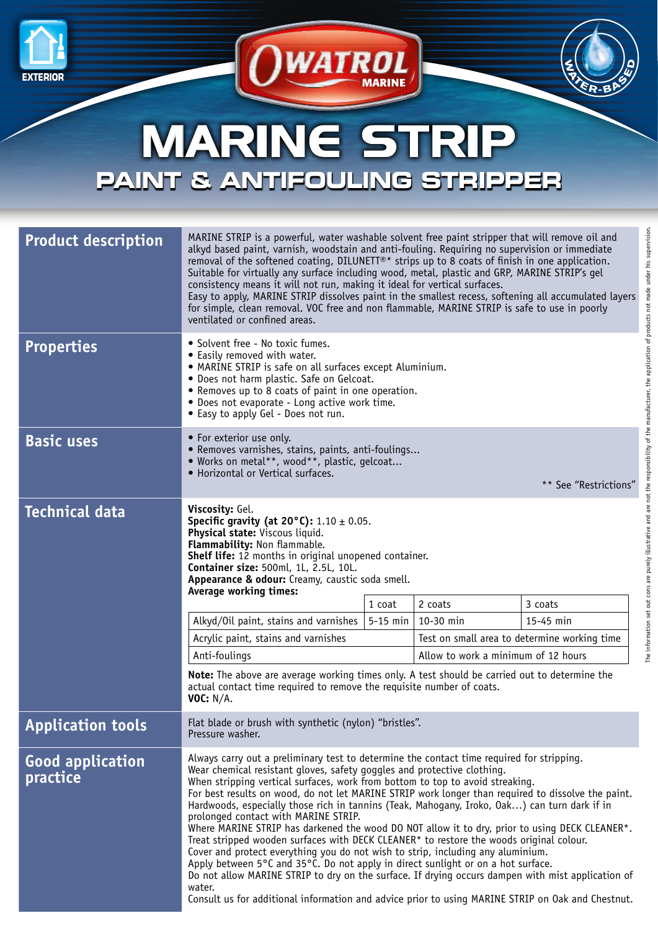



## MARINE STRIP **PAINT & ANTIFOULING STRIPPER**

 $\sum$ *WATROL* 

| <b>Product description</b>          | MARINE STRIP is a powerful, water washable solvent free paint stripper that will remove oil and<br>alkyd based paint, varnish, woodstain and anti-fouling. Requiring no supervision or immediate<br>removal of the softened coating, DILUNETT®* strips up to 8 coats of finish in one application.<br>Suitable for virtually any surface including wood, metal, plastic and GRP, MARINE STRIP's gel<br>consistency means it will not run, making it ideal for vertical surfaces.<br>Easy to apply, MARINE STRIP dissolves paint in the smallest recess, softening all accumulated layers<br>for simple, clean removal. VOC free and non flammable, MARINE STRIP is safe to use in poorly<br>ventilated or confined areas.                                                                                                                                                                                                                                                                                                                                                                   |                                     |                                              |           |  |
|-------------------------------------|---------------------------------------------------------------------------------------------------------------------------------------------------------------------------------------------------------------------------------------------------------------------------------------------------------------------------------------------------------------------------------------------------------------------------------------------------------------------------------------------------------------------------------------------------------------------------------------------------------------------------------------------------------------------------------------------------------------------------------------------------------------------------------------------------------------------------------------------------------------------------------------------------------------------------------------------------------------------------------------------------------------------------------------------------------------------------------------------|-------------------------------------|----------------------------------------------|-----------|--|
| <b>Properties</b>                   | • Solvent free - No toxic fumes.<br>• Easily removed with water.<br>• MARINE STRIP is safe on all surfaces except Aluminium.<br>• Does not harm plastic. Safe on Gelcoat.<br>• Removes up to 8 coats of paint in one operation.<br>• Does not evaporate - Long active work time.<br>• Easy to apply Gel - Does not run.                                                                                                                                                                                                                                                                                                                                                                                                                                                                                                                                                                                                                                                                                                                                                                     |                                     |                                              |           |  |
| <b>Basic uses</b>                   | • For exterior use only.<br>· Removes varnishes, stains, paints, anti-foulings<br>• Works on metal**, wood**, plastic, gelcoat<br>• Horizontal or Vertical surfaces.<br>** See "Restrictions"                                                                                                                                                                                                                                                                                                                                                                                                                                                                                                                                                                                                                                                                                                                                                                                                                                                                                               |                                     |                                              |           |  |
| <b>Technical data</b>               | Viscosity: Gel.<br>Specific gravity (at $20^{\circ}$ C): 1.10 $\pm$ 0.05.<br>Physical state: Viscous liquid.<br>Flammability: Non flammable.<br><b>Shelf life:</b> 12 months in original unopened container.<br>Container size: 500ml, 1L, 2.5L, 10L.<br>Appearance & odour: Creamy, caustic soda smell.<br>Average working times:                                                                                                                                                                                                                                                                                                                                                                                                                                                                                                                                                                                                                                                                                                                                                          |                                     |                                              |           |  |
|                                     |                                                                                                                                                                                                                                                                                                                                                                                                                                                                                                                                                                                                                                                                                                                                                                                                                                                                                                                                                                                                                                                                                             | 1 coat                              | 2 coats                                      | 3 coats   |  |
|                                     | Alkyd/Oil paint, stains and varnishes                                                                                                                                                                                                                                                                                                                                                                                                                                                                                                                                                                                                                                                                                                                                                                                                                                                                                                                                                                                                                                                       | $5-15$ min                          | 10-30 min                                    | 15-45 min |  |
|                                     | Acrylic paint, stains and varnishes                                                                                                                                                                                                                                                                                                                                                                                                                                                                                                                                                                                                                                                                                                                                                                                                                                                                                                                                                                                                                                                         |                                     | Test on small area to determine working time |           |  |
|                                     | Anti-foulings                                                                                                                                                                                                                                                                                                                                                                                                                                                                                                                                                                                                                                                                                                                                                                                                                                                                                                                                                                                                                                                                               | Allow to work a minimum of 12 hours |                                              |           |  |
|                                     | <b>Note:</b> The above are average working times only. A test should be carried out to determine the<br>actual contact time required to remove the requisite number of coats.<br><b>VOC: N/A.</b>                                                                                                                                                                                                                                                                                                                                                                                                                                                                                                                                                                                                                                                                                                                                                                                                                                                                                           |                                     |                                              |           |  |
| <b>Application tools</b>            | Flat blade or brush with synthetic (nylon) "bristles".<br>Pressure washer.                                                                                                                                                                                                                                                                                                                                                                                                                                                                                                                                                                                                                                                                                                                                                                                                                                                                                                                                                                                                                  |                                     |                                              |           |  |
| <b>Good application</b><br>practice | Always carry out a preliminary test to determine the contact time required for stripping.<br>Wear chemical resistant gloves, safety goggles and protective clothing.<br>When stripping vertical surfaces, work from bottom to top to avoid streaking.<br>For best results on wood, do not let MARINE STRIP work longer than required to dissolve the paint.<br>Hardwoods, especially those rich in tannins (Teak, Mahogany, Iroko, Oak) can turn dark if in<br>prolonged contact with MARINE STRIP.<br>Where MARINE STRIP has darkened the wood DO NOT allow it to dry, prior to using DECK CLEANER*.<br>Treat stripped wooden surfaces with DECK CLEANER* to restore the woods original colour.<br>Cover and protect everything you do not wish to strip, including any aluminium.<br>Apply between 5°C and 35°C. Do not apply in direct sunlight or on a hot surface.<br>Do not allow MARINE STRIP to dry on the surface. If drying occurs dampen with mist application of<br>water.<br>Consult us for additional information and advice prior to using MARINE STRIP on Oak and Chestnut. |                                     |                                              |           |  |